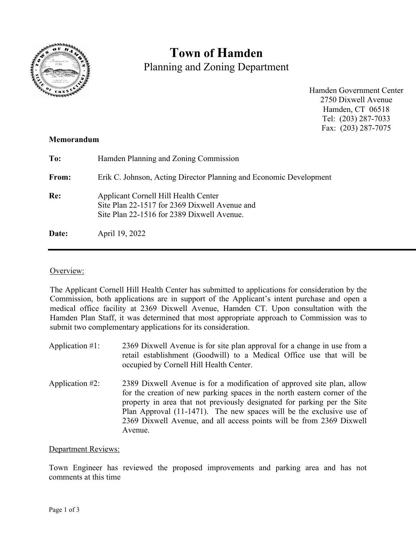

# **Town of Hamden**

Planning and Zoning Department

Hamden Government Center 2750 Dixwell Avenue Hamden, CT 06518 Tel: (203) 287-7033 Fax: (203) 287-7075

## **Memorandum**

| To:   | Hamden Planning and Zoning Commission                                                                                               |
|-------|-------------------------------------------------------------------------------------------------------------------------------------|
| From: | Erik C. Johnson, Acting Director Planning and Economic Development                                                                  |
| Re:   | Applicant Cornell Hill Health Center<br>Site Plan 22-1517 for 2369 Dixwell Avenue and<br>Site Plan 22-1516 for 2389 Dixwell Avenue. |
| Date: | April 19, 2022                                                                                                                      |

# Overview:

The Applicant Cornell Hill Health Center has submitted to applications for consideration by the Commission, both applications are in support of the Applicant's intent purchase and open a medical office facility at 2369 Dixwell Avenue, Hamden CT. Upon consultation with the Hamden Plan Staff, it was determined that most appropriate approach to Commission was to submit two complementary applications for its consideration.

- Application #1: 2369 Dixwell Avenue is for site plan approval for a change in use from a retail establishment (Goodwill) to a Medical Office use that will be occupied by Cornell Hill Health Center.
- Application #2: 2389 Dixwell Avenue is for a modification of approved site plan, allow for the creation of new parking spaces in the north eastern corner of the property in area that not previously designated for parking per the Site Plan Approval (11-1471). The new spaces will be the exclusive use of 2369 Dixwell Avenue, and all access points will be from 2369 Dixwell Avenue.

### Department Reviews:

Town Engineer has reviewed the proposed improvements and parking area and has not comments at this time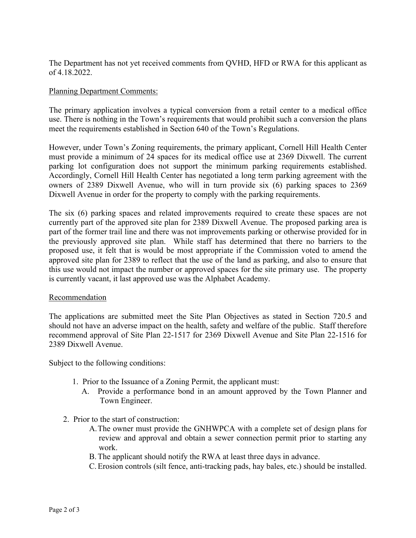The Department has not yet received comments from QVHD, HFD or RWA for this applicant as of 4.18.2022.

#### Planning Department Comments:

The primary application involves a typical conversion from a retail center to a medical office use. There is nothing in the Town's requirements that would prohibit such a conversion the plans meet the requirements established in Section 640 of the Town's Regulations.

However, under Town's Zoning requirements, the primary applicant, Cornell Hill Health Center must provide a minimum of 24 spaces for its medical office use at 2369 Dixwell. The current parking lot configuration does not support the minimum parking requirements established. Accordingly, Cornell Hill Health Center has negotiated a long term parking agreement with the owners of 2389 Dixwell Avenue, who will in turn provide six (6) parking spaces to 2369 Dixwell Avenue in order for the property to comply with the parking requirements.

The six (6) parking spaces and related improvements required to create these spaces are not currently part of the approved site plan for 2389 Dixwell Avenue. The proposed parking area is part of the former trail line and there was not improvements parking or otherwise provided for in the previously approved site plan. While staff has determined that there no barriers to the proposed use, it felt that is would be most appropriate if the Commission voted to amend the approved site plan for 2389 to reflect that the use of the land as parking, and also to ensure that this use would not impact the number or approved spaces for the site primary use. The property is currently vacant, it last approved use was the Alphabet Academy.

#### **Recommendation**

The applications are submitted meet the Site Plan Objectives as stated in Section 720.5 and should not have an adverse impact on the health, safety and welfare of the public. Staff therefore recommend approval of Site Plan 22-1517 for 2369 Dixwell Avenue and Site Plan 22-1516 for 2389 Dixwell Avenue.

Subject to the following conditions:

- 1. Prior to the Issuance of a Zoning Permit, the applicant must:
	- A. Provide a performance bond in an amount approved by the Town Planner and Town Engineer.
- 2. Prior to the start of construction:
	- A.The owner must provide the GNHWPCA with a complete set of design plans for review and approval and obtain a sewer connection permit prior to starting any work.
	- B.The applicant should notify the RWA at least three days in advance.
	- C.Erosion controls (silt fence, anti-tracking pads, hay bales, etc.) should be installed.